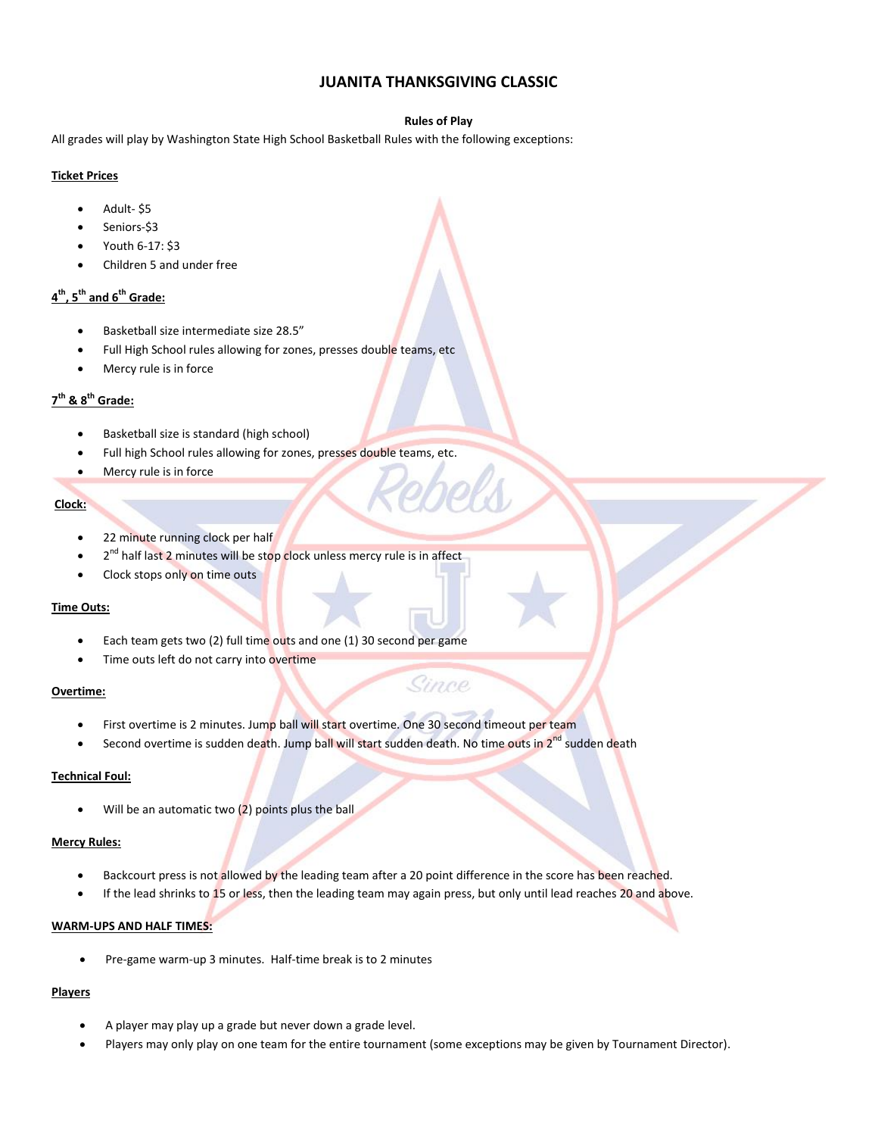## **JUANITA THANKSGIVING CLASSIC**

#### **Rules of Play**

All grades will play by Washington State High School Basketball Rules with the following exceptions:

#### **Ticket Prices**

- Adult- \$5
- Seniors-\$3
- Youth 6-17: \$3
- Children 5 and under free

# **4 th, 5th and 6th Grade:**

- Basketball size intermediate size 28.5"
- Full High School rules allowing for zones, presses double teams, etc
- Mercy rule is in force

# **7 th & 8th Grade:**

- Basketball size is standard (high school)
- Full high School rules allowing for zones, presses double teams, etc.
- Mercy rule is in force

## **Clock:**

- 22 minute running clock per half
- 2<sup>nd</sup> half last 2 minutes will be stop clock unless mercy rule is in affect
- Clock stops only on time outs

#### **Time Outs:**

- Each team gets two (2) full time outs and one (1) 30 second per game
- Time outs left do not carry into overtime

#### **Overtime:**

- First overtime is 2 minutes. Jump ball will start overtime. One 30 second timeout per team
- Second overtime is sudden death. Jump ball will start sudden death. No time outs in 2<sup>nd</sup> sudden death

Since

#### **Technical Foul:**

Will be an automatic two (2) points plus the ball

#### **Mercy Rules:**

- Backcourt press is not allowed by the leading team after a 20 point difference in the score has been reached.
- If the lead shrinks to 15 or less, then the leading team may again press, but only until lead reaches 20 and above.

#### **WARM-UPS AND HALF TIMES:**

Pre-game warm-up 3 minutes. Half-time break is to 2 minutes

## **Players**

- A player may play up a grade but never down a grade level.
- Players may only play on one team for the entire tournament (some exceptions may be given by Tournament Director).